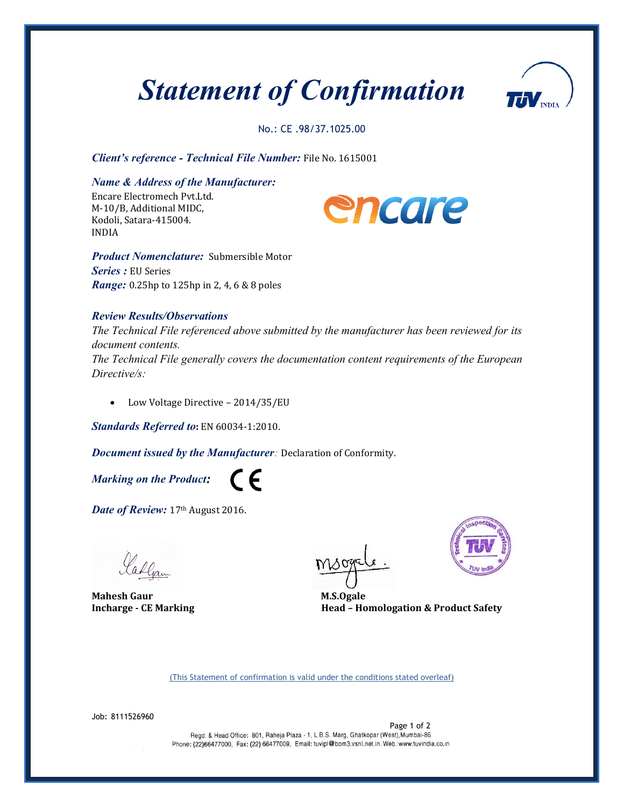## *Statement of Confirmation*



No.: CE .98/37.1025.00

*Client's reference - Technical File Number:* File No. 1615001

*Name & Address of the Manufacturer:* 

Encare Electromech Pvt.Ltd. M-10/B, Additional MIDC, Kodoli, Satara-415004. INDIA



*Product Nomenclature:* Submersible Motor *Series :* EU Series *Range:* 0.25hp to 125hp in 2, 4, 6 & 8 poles

## *Review Results/Observations*

*The Technical File referenced above submitted by the manufacturer has been reviewed for its document contents.*

*The Technical File generally covers the documentation content requirements of the European Directive/s:*

• Low Voltage Directive - 2014/35/EU

*Standards Referred to***:** EN 60034-1:2010.

*Document issued by the Manufacturer:* Declaration of Conformity.

 $\epsilon$ 

*Marking on the Product:*

Date of Review: 17th August 2016.

ladgam

**Mahesh Gaur** M.S.Ogale



**Incharge -** CE Marking **Head –** Homologation & Product Safety

(This Statement of confirmation is valid under the conditions stated overleaf)

Job: 8111526960

Page 1 of 2<br>Regd. & Head Office: 801, Raheia Plaza - 1, L.B.S. Marg, Ghatkopar (West), Mumbai-86 Phone: (22)66477000, Fax: (22) 66477009, Email: tuvipl@bom3.vsnl.net.in. Web.:www.tuvindia.co.in